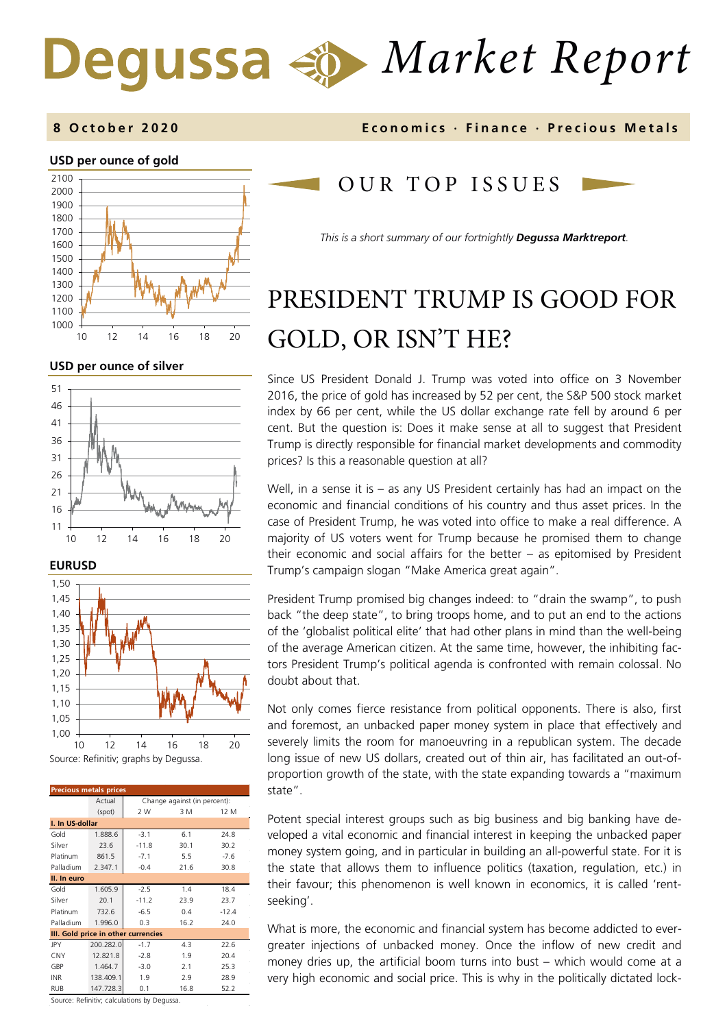# *Market Report*

#### **USD per ounce of gold**



**USD per ounce of silver** 







| <b>Precious metals prices</b>       |           |                              |      |         |
|-------------------------------------|-----------|------------------------------|------|---------|
|                                     | Actual    | Change against (in percent): |      |         |
|                                     | (spot)    | 2 W                          | 3 M  | 12 M    |
| I. In US-dollar                     |           |                              |      |         |
| Gold                                | 1.888.6   | $-3.1$                       | 6.1  | 24.8    |
| Silver                              | 23.6      | $-11.8$                      | 30.1 | 30.2    |
| Platinum                            | 861.5     | $-7.1$                       | 5.5  | $-7.6$  |
| Palladium                           | 2.347.1   | $-0.4$                       | 21.6 | 30.8    |
| II. In euro                         |           |                              |      |         |
| Gold                                | 1.605.9   | $-2.5$                       | 1.4  | 18.4    |
| Silver                              | 20.1      | $-11.2$                      | 23.9 | 23.7    |
| Platinum                            | 732.6     | $-6.5$                       | 0.4  | $-12.4$ |
| Palladium                           | 1.996.0   | 0.3                          | 16.2 | 24.0    |
| III. Gold price in other currencies |           |                              |      |         |
| JPY                                 | 200.282.0 | $-1.7$                       | 4.3  | 22.6    |
| CNY                                 | 12.821.8  | $-2.8$                       | 1.9  | 20.4    |
| GBP                                 | 1.464.7   | $-3.0$                       | 2.1  | 25.3    |
| INR                                 | 138.409.1 | 1.9                          | 2.9  | 28.9    |
| <b>RUB</b>                          | 147.728.3 | 0.1                          | 16.8 | 52.2    |

**8 October 2020 Economics · Finance · Precious M etals**

#### OUR TOP ISSUE S

*This is a short summary of our fortnightly Degussa Marktreport.*

## PRESIDENT TRUMP IS GOOD FOR GOLD, OR ISN'T HE?

Since US President Donald J. Trump was voted into office on 3 November 2016, the price of gold has increased by 52 per cent, the S&P 500 stock market index by 66 per cent, while the US dollar exchange rate fell by around 6 per cent. But the question is: Does it make sense at all to suggest that President Trump is directly responsible for financial market developments and commodity prices? Is this a reasonable question at all?

Well, in a sense it is – as any US President certainly has had an impact on the economic and financial conditions of his country and thus asset prices. In the case of President Trump, he was voted into office to make a real difference. A majority of US voters went for Trump because he promised them to change their economic and social affairs for the better – as epitomised by President Trump's campaign slogan "Make America great again".

President Trump promised big changes indeed: to "drain the swamp", to push back "the deep state", to bring troops home, and to put an end to the actions of the 'globalist political elite' that had other plans in mind than the well-being of the average American citizen. At the same time, however, the inhibiting factors President Trump's political agenda is confronted with remain colossal. No doubt about that.

Not only comes fierce resistance from political opponents. There is also, first and foremost, an unbacked paper money system in place that effectively and severely limits the room for manoeuvring in a republican system. The decade long issue of new US dollars, created out of thin air, has facilitated an out-ofproportion growth of the state, with the state expanding towards a "maximum state".

Potent special interest groups such as big business and big banking have developed a vital economic and financial interest in keeping the unbacked paper money system going, and in particular in building an all-powerful state. For it is the state that allows them to influence politics (taxation, regulation, etc.) in their favour; this phenomenon is well known in economics, it is called 'rentseeking'.

What is more, the economic and financial system has become addicted to evergreater injections of unbacked money. Once the inflow of new credit and money dries up, the artificial boom turns into bust – which would come at a very high economic and social price. This is why in the politically dictated lock-

Source: Refinitiv; calculations by Degussa.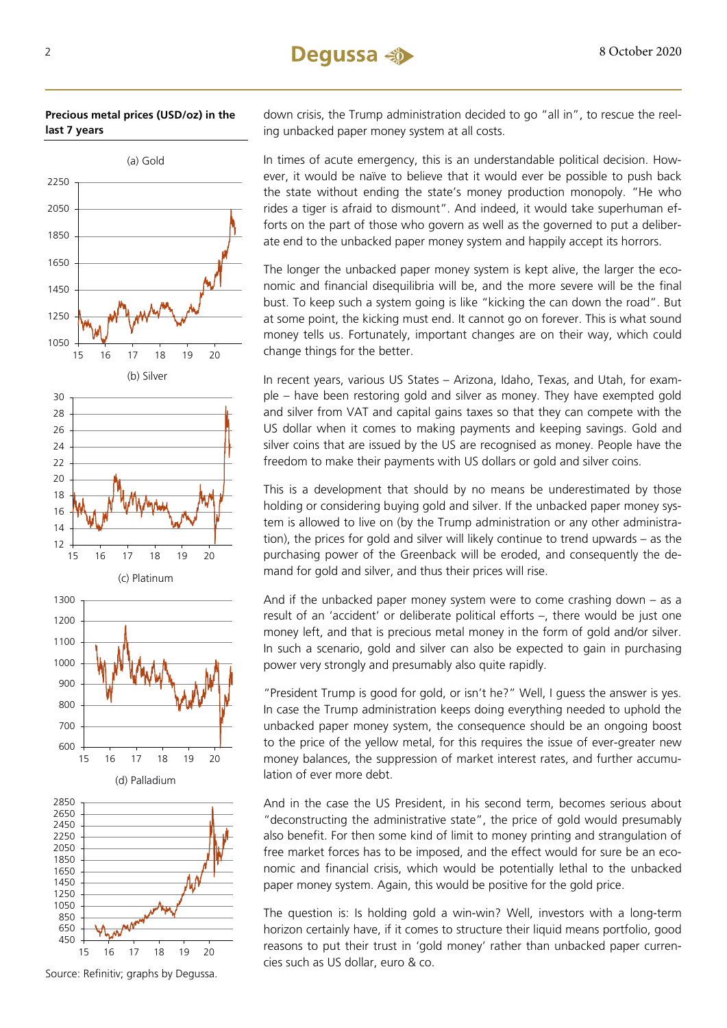



down crisis, the Trump administration decided to go "all in", to rescue the reeling unbacked paper money system at all costs.

In times of acute emergency, this is an understandable political decision. However, it would be naïve to believe that it would ever be possible to push back the state without ending the state's money production monopoly. "He who rides a tiger is afraid to dismount". And indeed, it would take superhuman efforts on the part of those who govern as well as the governed to put a deliberate end to the unbacked paper money system and happily accept its horrors.

The longer the unbacked paper money system is kept alive, the larger the economic and financial disequilibria will be, and the more severe will be the final bust. To keep such a system going is like "kicking the can down the road". But at some point, the kicking must end. It cannot go on forever. This is what sound money tells us. Fortunately, important changes are on their way, which could change things for the better.

In recent years, various US States – Arizona, Idaho, Texas, and Utah, for example – have been restoring gold and silver as money. They have exempted gold and silver from VAT and capital gains taxes so that they can compete with the US dollar when it comes to making payments and keeping savings. Gold and silver coins that are issued by the US are recognised as money. People have the freedom to make their payments with US dollars or gold and silver coins.

This is a development that should by no means be underestimated by those holding or considering buying gold and silver. If the unbacked paper money system is allowed to live on (by the Trump administration or any other administration), the prices for gold and silver will likely continue to trend upwards – as the purchasing power of the Greenback will be eroded, and consequently the demand for gold and silver, and thus their prices will rise.

And if the unbacked paper money system were to come crashing down – as a result of an 'accident' or deliberate political efforts –, there would be just one money left, and that is precious metal money in the form of gold and/or silver. In such a scenario, gold and silver can also be expected to gain in purchasing power very strongly and presumably also quite rapidly.

"President Trump is good for gold, or isn't he?" Well, I guess the answer is yes. In case the Trump administration keeps doing everything needed to uphold the unbacked paper money system, the consequence should be an ongoing boost to the price of the yellow metal, for this requires the issue of ever-greater new money balances, the suppression of market interest rates, and further accumulation of ever more debt.

And in the case the US President, in his second term, becomes serious about "deconstructing the administrative state", the price of gold would presumably also benefit. For then some kind of limit to money printing and strangulation of free market forces has to be imposed, and the effect would for sure be an economic and financial crisis, which would be potentially lethal to the unbacked paper money system. Again, this would be positive for the gold price.

The question is: Is holding gold a win-win? Well, investors with a long-term horizon certainly have, if it comes to structure their liquid means portfolio, good reasons to put their trust in 'gold money' rather than unbacked paper currencies such as US dollar, euro & co.

Source: Refinitiv; graphs by Degussa.

15 16 17 18 19 20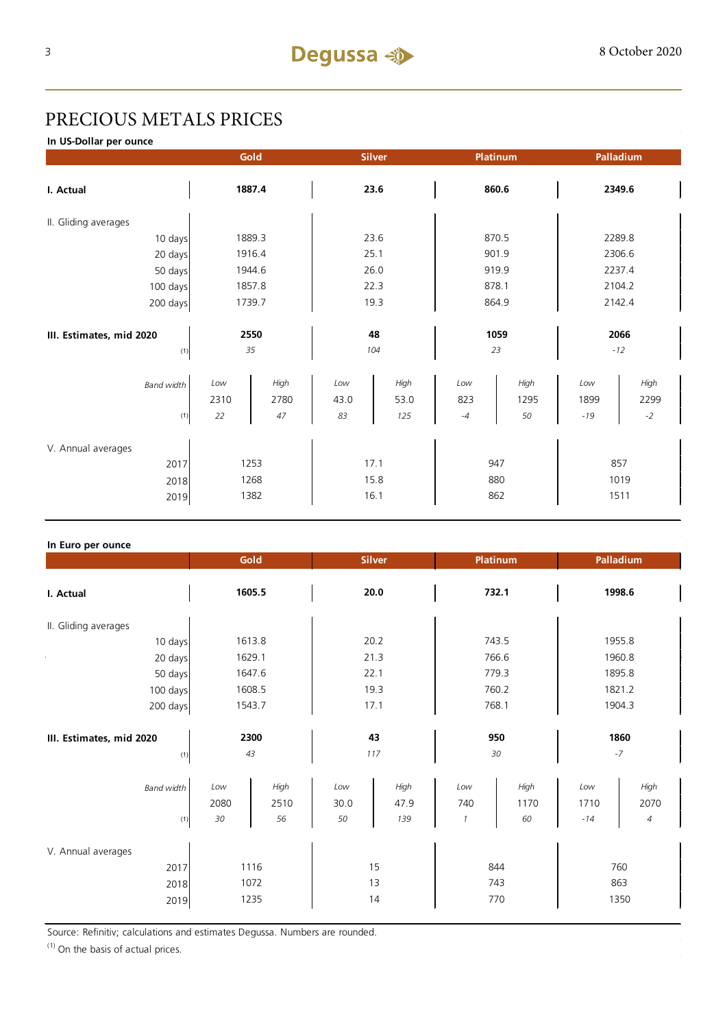### PRECIOUS METALS PRICES

**In US-Dollar per ounce**

|                          |      | Gold   |      | <b>Silver</b> |      | Platinum |       | Palladium |
|--------------------------|------|--------|------|---------------|------|----------|-------|-----------|
| I. Actual                |      | 1887.4 |      | 23.6          |      | 860.6    |       | 2349.6    |
| II. Gliding averages     |      |        |      |               |      |          |       |           |
| 10 days                  |      | 1889.3 |      | 23.6          |      | 870.5    |       | 2289.8    |
| 20 days                  |      | 1916.4 |      | 25.1          |      | 901.9    |       | 2306.6    |
| 50 days                  |      | 1944.6 |      | 26.0          |      | 919.9    |       | 2237.4    |
| 100 days                 |      | 1857.8 |      | 22.3          |      | 878.1    |       | 2104.2    |
| 200 days                 |      | 1739.7 |      | 19.3          |      | 864.9    |       | 2142.4    |
|                          |      |        |      |               |      |          |       |           |
| III. Estimates, mid 2020 |      | 2550   |      | 48            |      | 1059     |       | 2066      |
| (1)                      |      | 35     |      | 104           |      | 23       |       | $-12$     |
| <b>Band width</b>        | Low  | High   | Low  | High          | Low  | High     | Low   | High      |
|                          | 2310 | 2780   | 43.0 | 53.0          | 823  | 1295     | 1899  | 2299      |
| (1)                      | 22   | 47     | 83   | 125           | $-4$ | 50       | $-19$ | $-2$      |
| V. Annual averages       |      |        |      |               |      |          |       |           |
| 2017                     |      | 1253   |      | 17.1          |      | 947      |       | 857       |
| 2018                     |      | 1268   |      | 15.8          |      | 880      |       | 1019      |
| 2019                     |      | 1382   |      | 16.1          |      | 862      |       | 1511      |
|                          |      |        |      |               |      |          |       |           |

#### **In Euro per ounce**

|                                            | Gold                                        | <b>Silver</b>                            | <b>Platinum</b>                                   | Palladium                                              |
|--------------------------------------------|---------------------------------------------|------------------------------------------|---------------------------------------------------|--------------------------------------------------------|
| I. Actual                                  | 1605.5                                      | 20.0                                     | 732.1                                             | 1998.6                                                 |
| II. Gliding averages                       |                                             |                                          |                                                   |                                                        |
| 10 days                                    | 1613.8                                      | 20.2                                     | 743.5                                             | 1955.8                                                 |
| 20 days                                    | 1629.1                                      | 21.3                                     | 766.6                                             | 1960.8                                                 |
| 50 days                                    | 1647.6                                      | 22.1                                     | 779.3                                             | 1895.8                                                 |
| 100 days                                   | 1608.5                                      | 19.3                                     | 760.2                                             | 1821.2                                                 |
| 200 days                                   | 1543.7                                      | 17.1                                     | 768.1                                             | 1904.3                                                 |
| III. Estimates, mid 2020<br>(1)            | 2300<br>43                                  | 43<br>117                                | 950<br>30                                         | 1860<br>$-7$                                           |
| <b>Band width</b><br>(1)                   | Low<br>High<br>2080<br>2510<br>$30\,$<br>56 | Low<br>High<br>30.0<br>47.9<br>50<br>139 | High<br>Low<br>1170<br>740<br>60<br>$\mathcal{I}$ | High<br>Low<br>2070<br>1710<br>$\overline{4}$<br>$-14$ |
| V. Annual averages<br>2017<br>2018<br>2019 | 1116<br>1072<br>1235                        | 15<br>13<br>14                           | 844<br>743<br>770                                 | 760<br>863<br>1350                                     |

Source: Refinitiv; calculations and estimates Degussa. Numbers are rounded.

 $(1)$  On the basis of actual prices.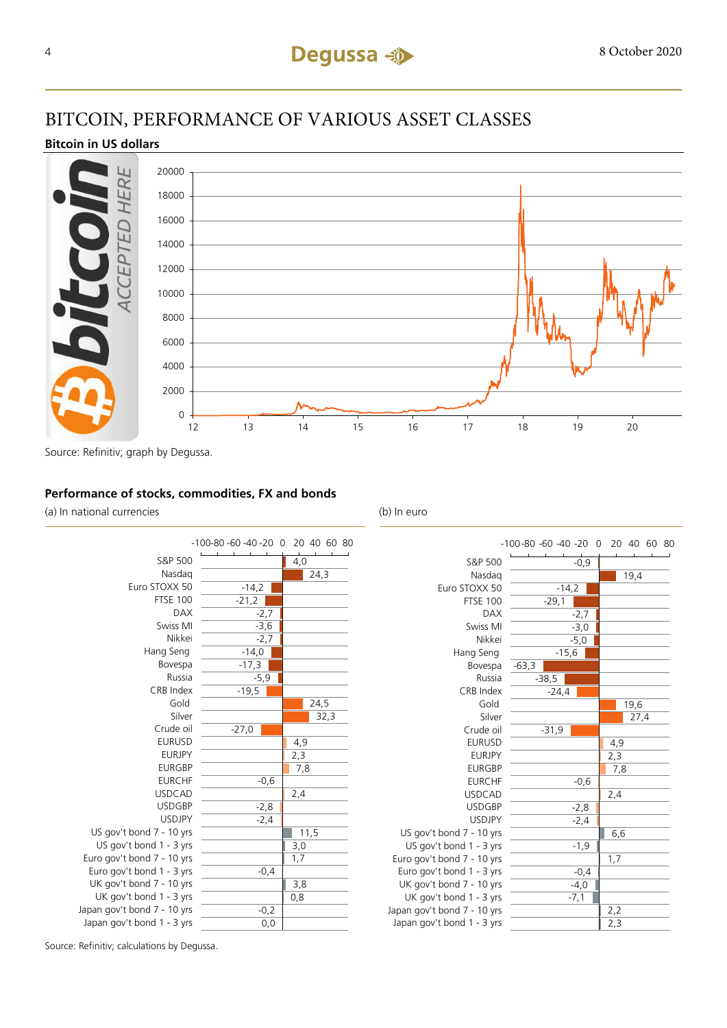#### BITCOIN, PERFORMANCE OF VARIOUS ASSET CLASSES

#### **Bitcoin in US dollars**



Source: Refinitiv; graph by Degussa.

#### **Performance of stocks, commodities, FX and bonds**

(a) In national currencies (b) In euro



|                             | -100-80 -60 -40 -20 0 20 40 60 80 |      |
|-----------------------------|-----------------------------------|------|
| S&P 500                     | $-0,9$                            |      |
| Nasdag                      |                                   | 19,4 |
| Euro STOXX 50               | $-14,2$                           |      |
| <b>FTSE 100</b>             | $-29,1$                           |      |
| <b>DAX</b>                  | $-2,7$                            |      |
| Swiss MI                    | $-3,0$                            |      |
| Nikkei                      | $-5,0$                            |      |
| Hang Seng                   | $-15,6$                           |      |
| Bovespa                     | $-63,3$                           |      |
| Russia                      | $-38,5$                           |      |
| CRB Index                   | $-24,4$                           |      |
| Gold                        |                                   | 19,6 |
| Silver                      |                                   | 27,4 |
| Crude oil                   | $-31,9$                           |      |
| <b>EURUSD</b>               |                                   | 4,9  |
| <b>EURJPY</b>               |                                   | 2,3  |
| <b>EURGBP</b>               |                                   | 7,8  |
| <b>EURCHF</b>               | $-0,6$                            |      |
| <b>USDCAD</b>               |                                   | 2,4  |
| <b>USDGBP</b>               | $-2,8$                            |      |
| <b>USDJPY</b>               | $-2,4$                            |      |
| US gov't bond 7 - 10 yrs    |                                   | 6,6  |
| US gov't bond 1 - 3 yrs     | $-1,9$                            |      |
| Euro gov't bond 7 - 10 yrs  |                                   | 1,7  |
| Euro gov't bond 1 - 3 yrs   | $-0,4$                            |      |
| UK gov't bond 7 - 10 yrs    | $-4,0$                            |      |
| UK gov't bond 1 - 3 yrs     | $-7,1$                            |      |
| Japan gov't bond 7 - 10 yrs |                                   | 2,2  |
| Japan gov't bond 1 - 3 yrs  |                                   | 2,3  |
|                             |                                   |      |

Source: Refinitiv; calculations by Degussa.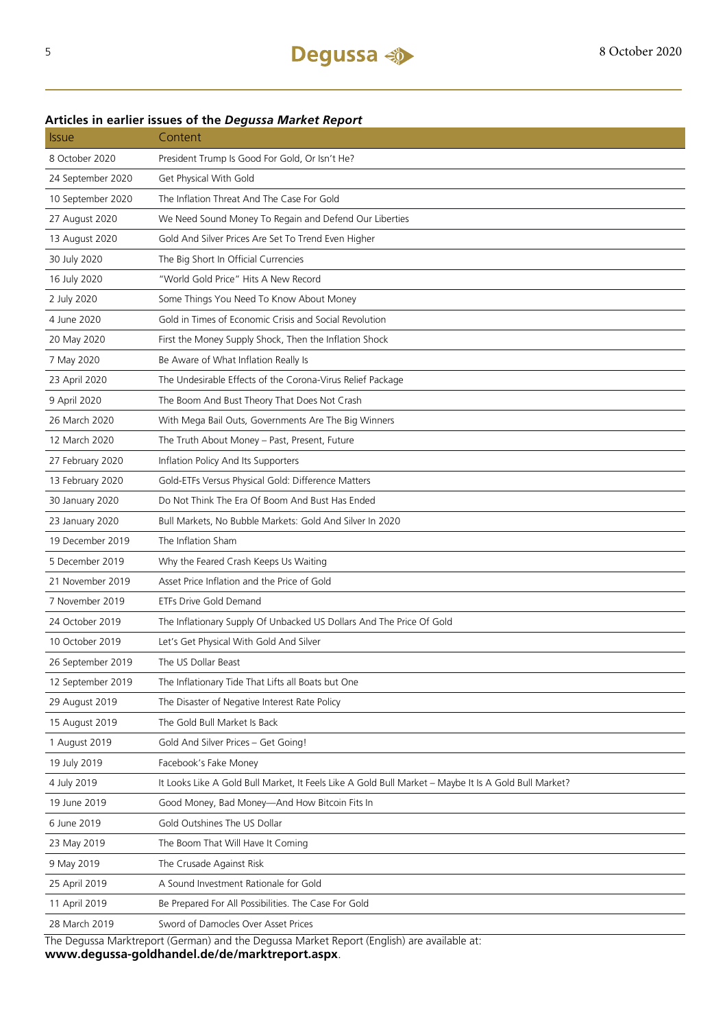| <b>Issue</b>                                                                               | Content                                                                                              |  |  |  |
|--------------------------------------------------------------------------------------------|------------------------------------------------------------------------------------------------------|--|--|--|
| 8 October 2020                                                                             | President Trump Is Good For Gold, Or Isn't He?                                                       |  |  |  |
| 24 September 2020                                                                          | Get Physical With Gold                                                                               |  |  |  |
| 10 September 2020                                                                          | The Inflation Threat And The Case For Gold                                                           |  |  |  |
| 27 August 2020                                                                             | We Need Sound Money To Regain and Defend Our Liberties                                               |  |  |  |
| 13 August 2020                                                                             | Gold And Silver Prices Are Set To Trend Even Higher                                                  |  |  |  |
| 30 July 2020                                                                               | The Big Short In Official Currencies                                                                 |  |  |  |
| 16 July 2020                                                                               | "World Gold Price" Hits A New Record                                                                 |  |  |  |
| 2 July 2020                                                                                | Some Things You Need To Know About Money                                                             |  |  |  |
| 4 June 2020                                                                                | Gold in Times of Economic Crisis and Social Revolution                                               |  |  |  |
| 20 May 2020                                                                                | First the Money Supply Shock, Then the Inflation Shock                                               |  |  |  |
| 7 May 2020                                                                                 | Be Aware of What Inflation Really Is                                                                 |  |  |  |
| 23 April 2020                                                                              | The Undesirable Effects of the Corona-Virus Relief Package                                           |  |  |  |
| 9 April 2020                                                                               | The Boom And Bust Theory That Does Not Crash                                                         |  |  |  |
| 26 March 2020                                                                              | With Mega Bail Outs, Governments Are The Big Winners                                                 |  |  |  |
| 12 March 2020                                                                              | The Truth About Money - Past, Present, Future                                                        |  |  |  |
| 27 February 2020                                                                           | Inflation Policy And Its Supporters                                                                  |  |  |  |
| 13 February 2020                                                                           | Gold-ETFs Versus Physical Gold: Difference Matters                                                   |  |  |  |
| 30 January 2020                                                                            | Do Not Think The Era Of Boom And Bust Has Ended                                                      |  |  |  |
| 23 January 2020                                                                            | Bull Markets, No Bubble Markets: Gold And Silver In 2020                                             |  |  |  |
| 19 December 2019                                                                           | The Inflation Sham                                                                                   |  |  |  |
| 5 December 2019                                                                            | Why the Feared Crash Keeps Us Waiting                                                                |  |  |  |
| 21 November 2019                                                                           | Asset Price Inflation and the Price of Gold                                                          |  |  |  |
| 7 November 2019                                                                            | ETFs Drive Gold Demand                                                                               |  |  |  |
| 24 October 2019                                                                            | The Inflationary Supply Of Unbacked US Dollars And The Price Of Gold                                 |  |  |  |
| 10 October 2019                                                                            | Let's Get Physical With Gold And Silver                                                              |  |  |  |
| 26 September 2019                                                                          | The US Dollar Beast                                                                                  |  |  |  |
| 12 September 2019                                                                          | The Inflationary Tide That Lifts all Boats but One                                                   |  |  |  |
| 29 August 2019                                                                             | The Disaster of Negative Interest Rate Policy                                                        |  |  |  |
| 15 August 2019                                                                             | The Gold Bull Market Is Back                                                                         |  |  |  |
| 1 August 2019                                                                              | Gold And Silver Prices - Get Going!                                                                  |  |  |  |
| 19 July 2019                                                                               | Facebook's Fake Money                                                                                |  |  |  |
| 4 July 2019                                                                                | It Looks Like A Gold Bull Market, It Feels Like A Gold Bull Market - Maybe It Is A Gold Bull Market? |  |  |  |
| 19 June 2019                                                                               | Good Money, Bad Money-And How Bitcoin Fits In                                                        |  |  |  |
| 6 June 2019                                                                                | Gold Outshines The US Dollar                                                                         |  |  |  |
| 23 May 2019                                                                                | The Boom That Will Have It Coming                                                                    |  |  |  |
| 9 May 2019                                                                                 | The Crusade Against Risk                                                                             |  |  |  |
| 25 April 2019                                                                              | A Sound Investment Rationale for Gold                                                                |  |  |  |
| 11 April 2019                                                                              | Be Prepared For All Possibilities. The Case For Gold                                                 |  |  |  |
| 28 March 2019                                                                              | Sword of Damocles Over Asset Prices                                                                  |  |  |  |
| The Degussa Marktreport (German) and the Degussa Market Report (English) are available at: |                                                                                                      |  |  |  |

#### **Articles in earlier issues of the** *Degussa Market Report*

**www.degussa-goldhandel.de/de/marktreport.aspx**.